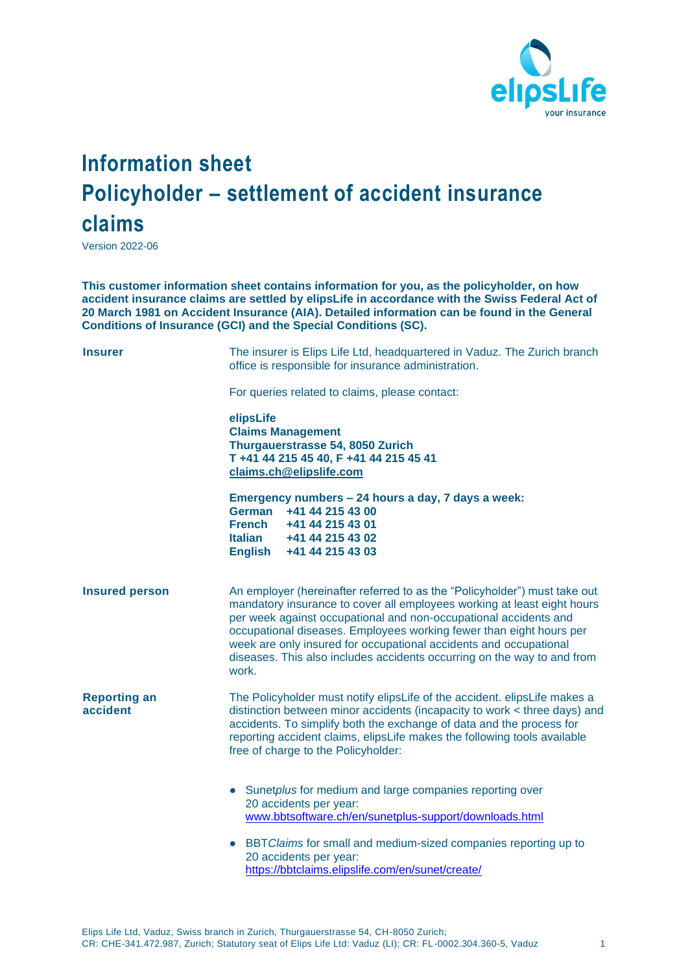

## **Information sheet Policyholder – settlement of accident insurance claims**

Version 2022-06

**This customer information sheet contains information for you, as the policyholder, on how accident insurance claims are settled by elipsLife in accordance with the Swiss Federal Act of 20 March 1981 on Accident Insurance (AIA). Detailed information can be found in the General Conditions of Insurance (GCI) and the Special Conditions (SC).**

| <b>Insurer</b>                  | The insurer is Elips Life Ltd, headquartered in Vaduz. The Zurich branch<br>office is responsible for insurance administration.<br>For queries related to claims, please contact:                                                                                                                                                                                                                                                                        |
|---------------------------------|----------------------------------------------------------------------------------------------------------------------------------------------------------------------------------------------------------------------------------------------------------------------------------------------------------------------------------------------------------------------------------------------------------------------------------------------------------|
|                                 | elipsLife<br><b>Claims Management</b><br>Thurgauerstrasse 54, 8050 Zurich<br>T +41 44 215 45 40, F +41 44 215 45 41<br>claims.ch@elipslife.com                                                                                                                                                                                                                                                                                                           |
|                                 | Emergency numbers - 24 hours a day, 7 days a week:<br>German<br>+41 44 215 43 00<br><b>French</b><br>+41 44 215 43 01<br><b>Italian</b><br>+41 44 215 43 02<br>English +41 44 215 43 03                                                                                                                                                                                                                                                                  |
| <b>Insured person</b>           | An employer (hereinafter referred to as the "Policyholder") must take out<br>mandatory insurance to cover all employees working at least eight hours<br>per week against occupational and non-occupational accidents and<br>occupational diseases. Employees working fewer than eight hours per<br>week are only insured for occupational accidents and occupational<br>diseases. This also includes accidents occurring on the way to and from<br>work. |
| <b>Reporting an</b><br>accident | The Policyholder must notify elipsLife of the accident. elipsLife makes a<br>distinction between minor accidents (incapacity to work < three days) and<br>accidents. To simplify both the exchange of data and the process for<br>reporting accident claims, elipsLife makes the following tools available<br>free of charge to the Policyholder:                                                                                                        |
|                                 | • Sunetplus for medium and large companies reporting over<br>20 accidents per year:<br>www.bbtsoftware.ch/en/sunetplus-support/downloads.html                                                                                                                                                                                                                                                                                                            |
|                                 | BBT Claims for small and medium-sized companies reporting up to<br>$\bullet$<br>20 accidents per year:<br>https://bbtclaims.elipslife.com/en/sunet/create/                                                                                                                                                                                                                                                                                               |